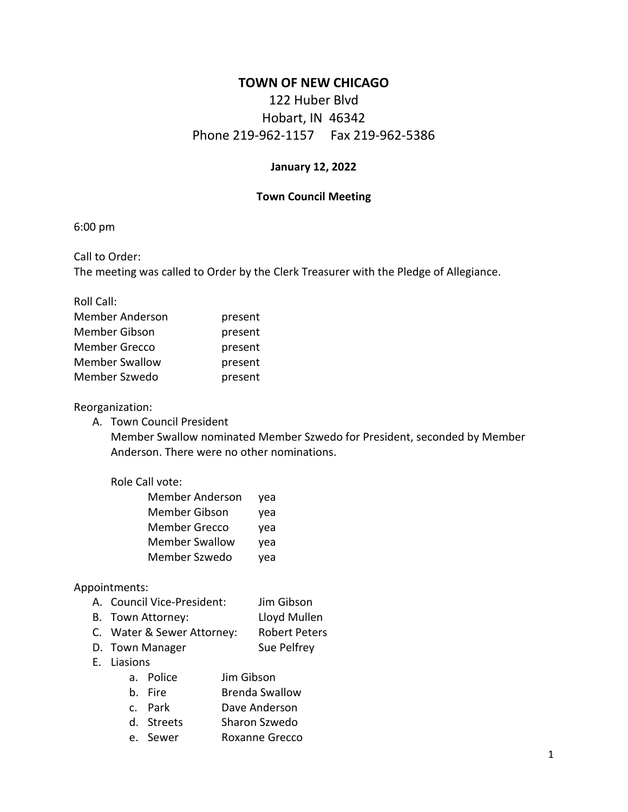# **TOWN OF NEW CHICAGO**

# 122 Huber Blvd Hobart, IN 46342 Phone 219-962-1157 Fax 219-962-5386

#### **January 12, 2022**

#### **Town Council Meeting**

6:00 pm

Call to Order: The meeting was called to Order by the Clerk Treasurer with the Pledge of Allegiance.

Roll Call:

| <b>Member Anderson</b> | present |
|------------------------|---------|
| Member Gibson          | present |
| <b>Member Grecco</b>   | present |
| <b>Member Swallow</b>  | present |
| Member Szwedo          | present |

#### Reorganization:

A. Town Council President

Member Swallow nominated Member Szwedo for President, seconded by Member Anderson. There were no other nominations.

### Role Call vote:

| <b>Member Anderson</b> | yea |
|------------------------|-----|
| <b>Member Gibson</b>   | yea |
| <b>Member Grecco</b>   | yea |
| <b>Member Swallow</b>  | yea |
| Member Szwedo          | yea |
|                        |     |

#### Appointments:

- A. Council Vice-President: Jim Gibson
- B. Town Attorney: Lloyd Mullen
- C. Water & Sewer Attorney: Robert Peters
- D. Town Manager Sue Pelfrey
- E. Liasions
	- a. Police Jim Gibson
	- b. Fire **Brenda Swallow**
	- c. Park Dave Anderson
	- d. Streets Sharon Szwedo
	- e. Sewer Roxanne Grecco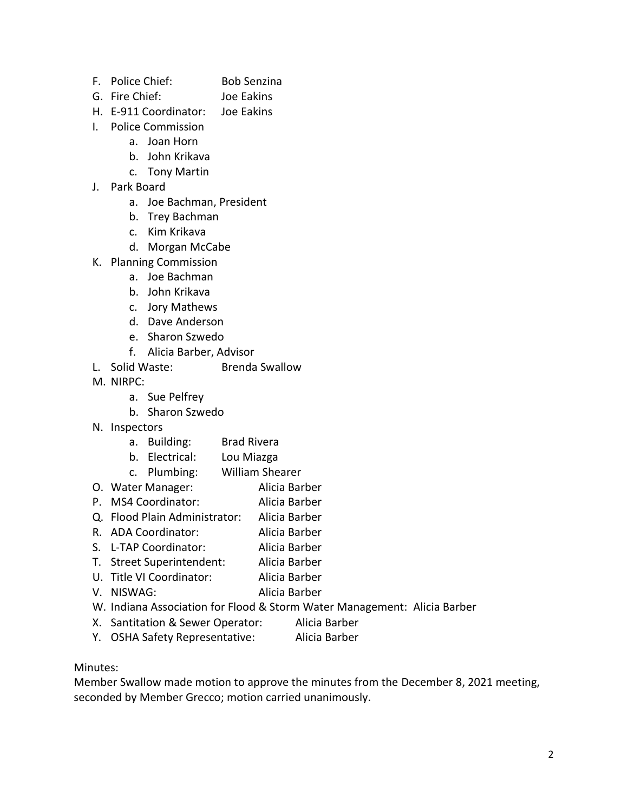- F. Police Chief: Bob Senzina
- G. Fire Chief: Joe Eakins
- H. E-911 Coordinator: Joe Eakins
- I. Police Commission
	- a. Joan Horn
	- b. John Krikava
	- c. Tony Martin
- J. Park Board
	- a. Joe Bachman, President
	- b. Trey Bachman
	- c. Kim Krikava
	- d. Morgan McCabe
- K. Planning Commission
	- a. Joe Bachman
	- b. John Krikava
	- c. Jory Mathews
	- d. Dave Anderson
	- e. Sharon Szwedo
	- f. Alicia Barber, Advisor
- L. Solid Waste: Brenda Swallow
- M. NIRPC:
	- a. Sue Pelfrey
	- b. Sharon Szwedo
- N. Inspectors
	- a. Building: Brad Rivera
	- b. Electrical: Lou Miazga
	- c. Plumbing: William Shearer
- O. Water Manager: Alicia Barber
- P. MS4 Coordinator: Alicia Barber
- Q. Flood Plain Administrator: Alicia Barber
- R. ADA Coordinator: Alicia Barber
- S. L-TAP Coordinator: Alicia Barber
- T. Street Superintendent: Alicia Barber
- U. Title VI Coordinator: Alicia Barber
- V. NISWAG: Alicia Barber
- W. Indiana Association for Flood & Storm Water Management: Alicia Barber
- X. Santitation & Sewer Operator: Alicia Barber
- Y. OSHA Safety Representative: Alicia Barber

## Minutes:

Member Swallow made motion to approve the minutes from the December 8, 2021 meeting, seconded by Member Grecco; motion carried unanimously.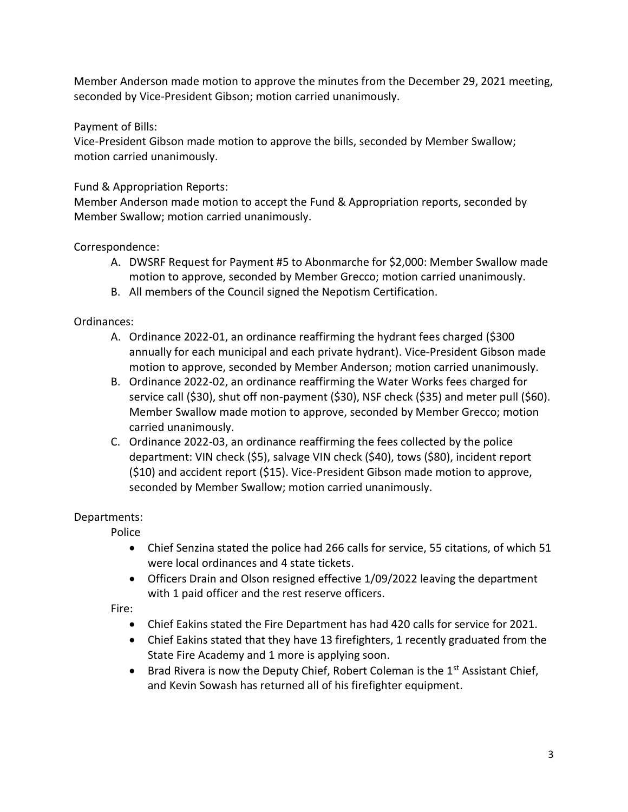Member Anderson made motion to approve the minutes from the December 29, 2021 meeting, seconded by Vice-President Gibson; motion carried unanimously.

Payment of Bills:

Vice-President Gibson made motion to approve the bills, seconded by Member Swallow; motion carried unanimously.

Fund & Appropriation Reports:

Member Anderson made motion to accept the Fund & Appropriation reports, seconded by Member Swallow; motion carried unanimously.

Correspondence:

- A. DWSRF Request for Payment #5 to Abonmarche for \$2,000: Member Swallow made motion to approve, seconded by Member Grecco; motion carried unanimously.
- B. All members of the Council signed the Nepotism Certification.

Ordinances:

- A. Ordinance 2022-01, an ordinance reaffirming the hydrant fees charged (\$300 annually for each municipal and each private hydrant). Vice-President Gibson made motion to approve, seconded by Member Anderson; motion carried unanimously.
- B. Ordinance 2022-02, an ordinance reaffirming the Water Works fees charged for service call (\$30), shut off non-payment (\$30), NSF check (\$35) and meter pull (\$60). Member Swallow made motion to approve, seconded by Member Grecco; motion carried unanimously.
- C. Ordinance 2022-03, an ordinance reaffirming the fees collected by the police department: VIN check (\$5), salvage VIN check (\$40), tows (\$80), incident report (\$10) and accident report (\$15). Vice-President Gibson made motion to approve, seconded by Member Swallow; motion carried unanimously.

Departments:

Police

- Chief Senzina stated the police had 266 calls for service, 55 citations, of which 51 were local ordinances and 4 state tickets.
- Officers Drain and Olson resigned effective 1/09/2022 leaving the department with 1 paid officer and the rest reserve officers.

Fire:

- Chief Eakins stated the Fire Department has had 420 calls for service for 2021.
- Chief Eakins stated that they have 13 firefighters, 1 recently graduated from the State Fire Academy and 1 more is applying soon.
- Brad Rivera is now the Deputy Chief, Robert Coleman is the  $1<sup>st</sup>$  Assistant Chief, and Kevin Sowash has returned all of his firefighter equipment.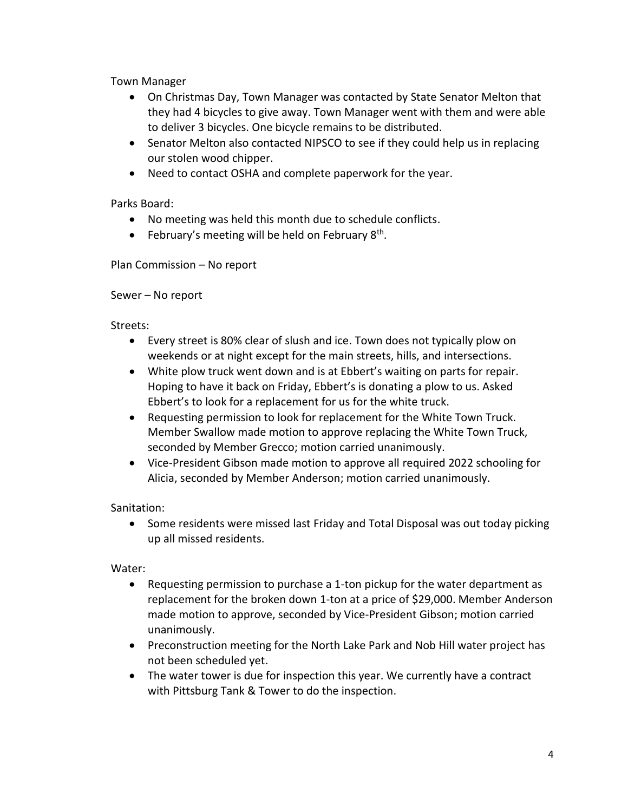Town Manager

- On Christmas Day, Town Manager was contacted by State Senator Melton that they had 4 bicycles to give away. Town Manager went with them and were able to deliver 3 bicycles. One bicycle remains to be distributed.
- Senator Melton also contacted NIPSCO to see if they could help us in replacing our stolen wood chipper.
- Need to contact OSHA and complete paperwork for the year.

Parks Board:

- No meeting was held this month due to schedule conflicts.
- February's meeting will be held on February 8<sup>th</sup>.

Plan Commission – No report

# Sewer – No report

Streets:

- Every street is 80% clear of slush and ice. Town does not typically plow on weekends or at night except for the main streets, hills, and intersections.
- White plow truck went down and is at Ebbert's waiting on parts for repair. Hoping to have it back on Friday, Ebbert's is donating a plow to us. Asked Ebbert's to look for a replacement for us for the white truck.
- Requesting permission to look for replacement for the White Town Truck. Member Swallow made motion to approve replacing the White Town Truck, seconded by Member Grecco; motion carried unanimously.
- Vice-President Gibson made motion to approve all required 2022 schooling for Alicia, seconded by Member Anderson; motion carried unanimously.

Sanitation:

• Some residents were missed last Friday and Total Disposal was out today picking up all missed residents.

Water:

- Requesting permission to purchase a 1-ton pickup for the water department as replacement for the broken down 1-ton at a price of \$29,000. Member Anderson made motion to approve, seconded by Vice-President Gibson; motion carried unanimously.
- Preconstruction meeting for the North Lake Park and Nob Hill water project has not been scheduled yet.
- The water tower is due for inspection this year. We currently have a contract with Pittsburg Tank & Tower to do the inspection.